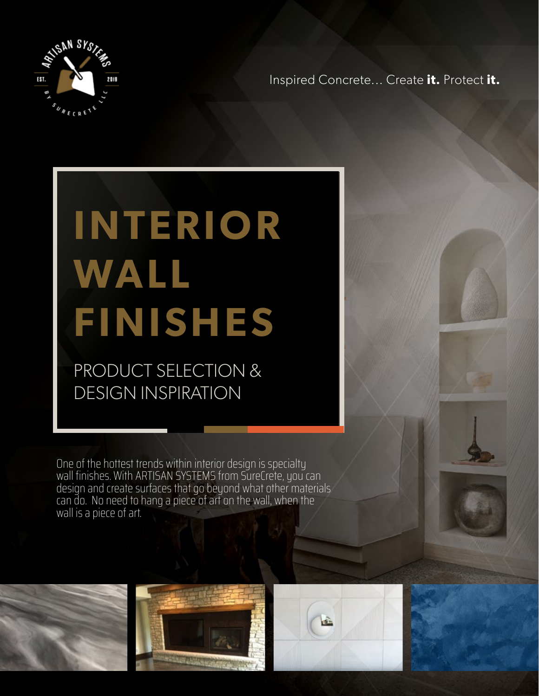

Inspired Concrete... Create **it.** Protect **it.**

# **INTERIOR WALL FINISHES**

PRODUCT SELECTION & DESIGN INSPIRATION

One of the hottest trends within interior design is specialty wall finishes. With ARTISAN SYSTEMS from SureCrete, you can design and create surfaces that go beyond what other materials can do. No need to hang a piece of art on the wall, when the wall is a piece of art.





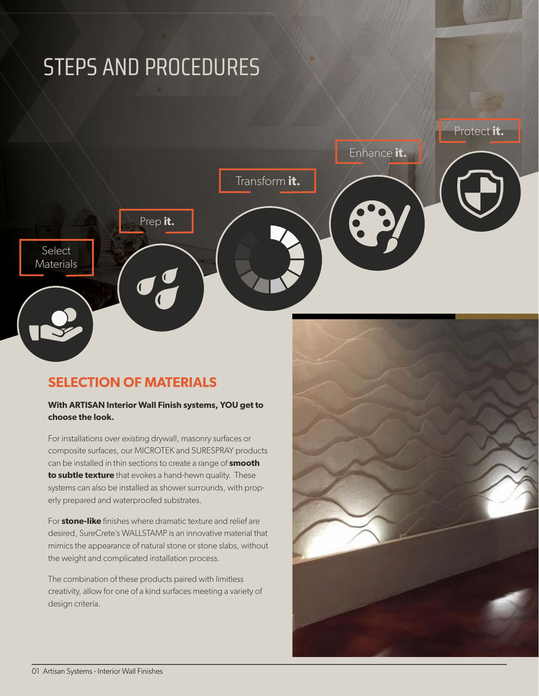# STEPS AND PROCEDURES Protect **it.** Enhance **it.** Transform **it.** Prep **it.Select Materials** O

### **SELECTION OF MATERIALS**

#### **With ARTISAN Interior Wall Finish systems, YOU get to choose the look.**

For installations over existing drywall, masonry surfaces or composite surfaces, our MICROTEK and SURESPRAY products can be installed in thin sections to create a range of **smooth to subtle texture** that evokes a hand-hewn quality. These systems can also be installed as shower surrounds, with properly prepared and waterproofed substrates.

For **stone-like** finishes where dramatic texture and relief are desired, SureCrete's WALLSTAMP is an innovative material that mimics the appearance of natural stone or stone slabs, without the weight and complicated installation process.

The combination of these products paired with limitless creativity, allow for one of a kind surfaces meeting a variety of design criteria.

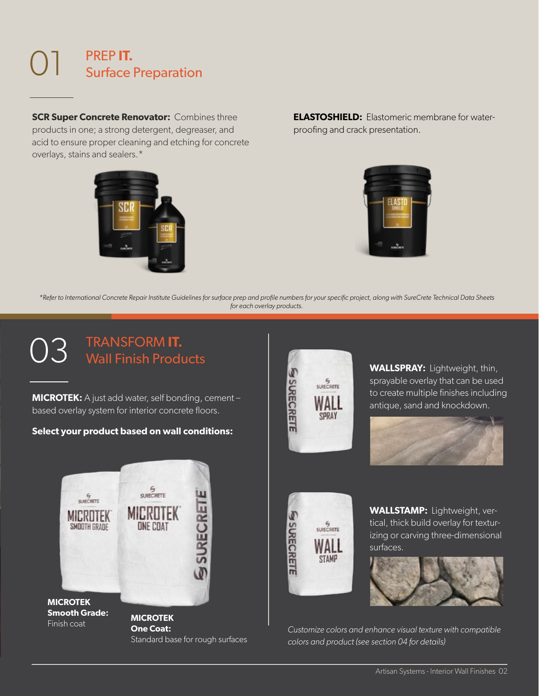#### 01 PREP **IT.**  Surface Preparation

**SCR Super Concrete Renovator:** Combines three products in one; a strong detergent, degreaser, and acid to ensure proper cleaning and etching for concrete overlays, stains and sealers.\*



**ELASTOSHIELD:** Elastomeric membrane for waterproofing and crack presentation.



*\*Refer to International Concrete Repair Institute Guidelines for surface prep and profile numbers for your specific project, along with SureCrete Technical Data Sheets for each overlay products.*

#### 03 TRANSFORM **IT.**  Wall Finish Products

**MICROTEK:** A just add water, self bonding, cement – based overlay system for interior concrete floors.

#### **Select your product based on wall conditions:**



**One Coat:** Standard base for rough surfaces



**WALLSPRAY:** Lightweight, thin, sprayable overlay that can be used to create multiple finishes including antique, sand and knockdown.





**WALLSTAMP:** Lightweight, vertical, thick build overlay for texturizing or carving three-dimensional surfaces.



*Customize colors and enhance visual texture with compatible colors and product (see section 04 for details)*